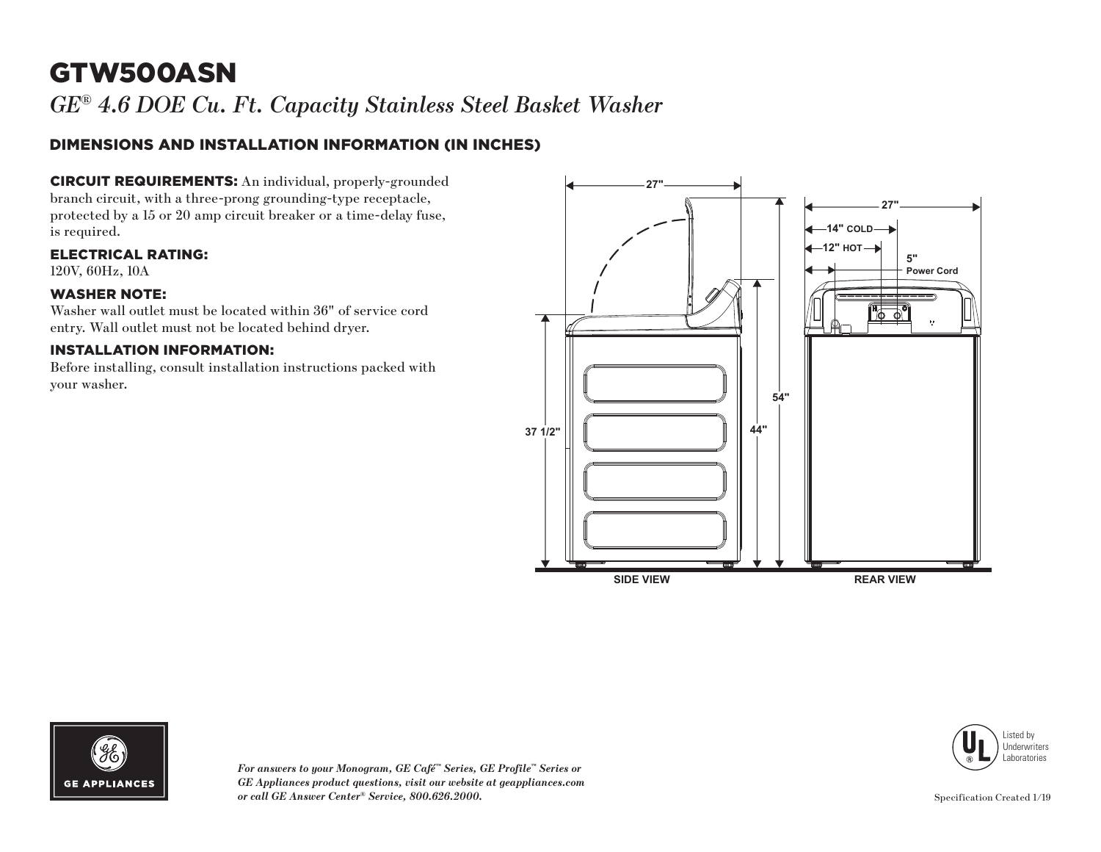# GTW500ASN

*GE® 4.6 DOE Cu. Ft. Capacity Stainless Steel Basket Washer*

### DIMENSIONS AND INSTALLATION INFORMATION (IN INCHES)

CIRCUIT REQUIREMENTS: An individual, properly-grounded branch circuit, with a three-prong grounding-type receptacle, protected by a 15 or 20 amp circuit breaker or a time-delay fuse, is required.

ELECTRICAL RATING:

120V, 60Hz, 10A

#### WASHER NOTE:

Washer wall outlet must be located within 36" of service cord entry. Wall outlet must not be located behind dryer.

#### INSTALLATION INFORMATION:

Before installing, consult installation instructions packed with your washer.







*For answers to your Monogram, GE Café™ Series, GE Profile™ Series or GE Appliances product questions, visit our website at geappliances.com or call GE Answer Center® Service, 800.626.2000.*